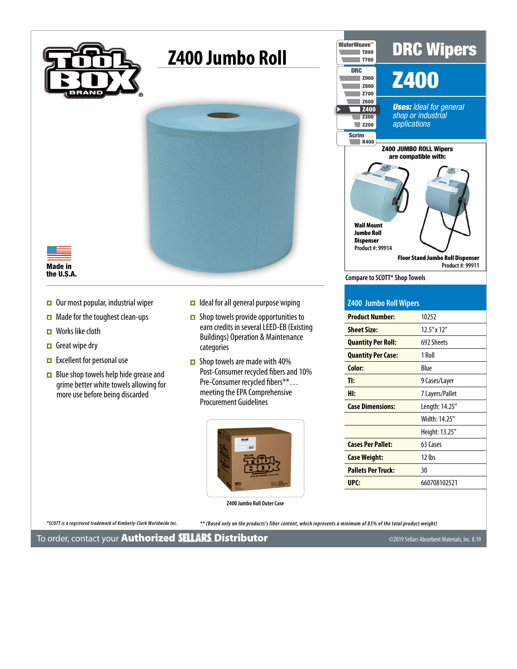

## **Z400 Jumbo Roll**





- $\Box$  Our most popular, industrial wiper
- $\Box$  Made for the toughest clean-ups
- $\blacksquare$  Works like cloth
- $\Box$  Great wipe dry
- Excellent for personal use
- $\Box$  Blue shop towels help hide grease and grime better white towels allowing for more use before being discarded
- $\Box$  Ideal for all general purpose wiping
- $\Box$  Shop towels provide opportunities to earn credits in several LEED-EB (Existing Buildings) Operation & Maintenance categories
- $\Box$  Shop towels are made with 40% Post-Consumer recycled fibers and 10% Pre-Consumer recycled fibers\*\*... meeting the EPA Comprehensive Procurement Guidelines



**Z400 Jumbo Roll Outer Case**

*\*SCOTT is a registered trademark of Kimberly-Clark Worldwide Inc. \*\* (Based only on the products's fiber content, which represents a minimum of 85% of the total product weight)*

**Example Hotel Windows**<br>are compatible with: **Floor Stand Jumbo Roll Dispenser**<br>Product #: 99911 **Compare to SCOTT\* Shop Towels** DRC Wipers Z400 *Uses: Ideal for general shop or industrial applications* z<sub>600</sub><br>z<sub>400</sub><br>z<sub>300</sub> Z900 Z800 Z700  $\overline{\phantom{a}}$  z<sub>600</sub> Z300  $Z200$ DRC WaterWeave™ **R400 Scrim** T800 T700 Wall Mount Jumbo Roll Dispenser **Product #: 99914 Product #: 99911** Z400 JUMBO ROLL Wipers

| Z400 Jumbo Roll Wipers |  |
|------------------------|--|

| <b>Product Number:</b>    | 10252             |
|---------------------------|-------------------|
| <b>Sheet Size:</b>        | $12.5''$ x $12''$ |
| <b>Quantity Per Roll:</b> | 692 Sheets        |
| <b>Quantity Per Case:</b> | 1 Roll            |
| Color:                    | Blue              |
| TI:                       | 9 Cases/Layer     |
| HI:                       | 7 Layers/Pallet   |
| <b>Case Dimensions:</b>   | Length: 14.25"    |
|                           | Width: 14.25"     |
|                           | Height: 13.25"    |
| <b>Cases Per Pallet:</b>  | 63 Cases          |
| <b>Case Weight:</b>       | $12$ lbs          |
| <b>Pallets Per Truck:</b> | 30                |
| UPC:                      | 660708102521      |
|                           |                   |

To order, contact your **Authorized SELLARS. [D](http://www.sellarscompany.com)istributor**  $\overline{\phantom{a}}$   $\overline{\phantom{a}}$   $\overline{\phantom{a}}$   $\overline{\phantom{a}}$   $\overline{\phantom{a}}$   $\overline{\phantom{a}}$   $\overline{\phantom{a}}$   $\overline{\phantom{a}}$   $\overline{\phantom{a}}$   $\overline{\phantom{a}}$   $\overline{\phantom{a}}$   $\overline{\phantom{a}}$   $\overline{\phantom{a}}$   $\overline{\phantom{$